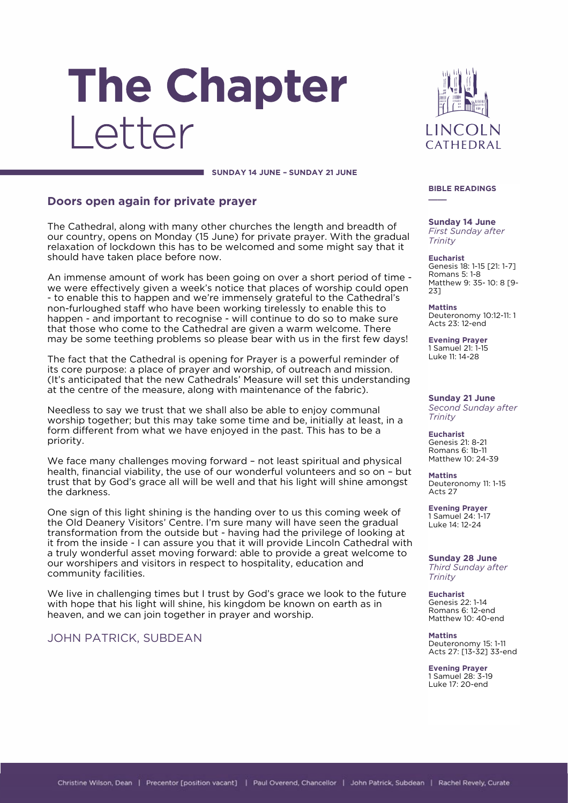# The Chapter I etter

**LINCOLN** CATHEDRAL

**SUNDAY 14 JUNE – SUNDAY 21 JUNE**

## **Doors open again for private prayer**

The Cathedral, along with many other churches the length and breadth of our country, opens on Monday (15 June) for private prayer. With the gradual relaxation of lockdown this has to be welcomed and some might say that it should have taken place before now.

An immense amount of work has been going on over a short period of time we were effectively given a week's notice that places of worship could open - to enable this to happen and we're immensely grateful to the Cathedral's non-furloughed staff who have been working tirelessly to enable this to happen - and important to recognise - will continue to do so to make sure that those who come to the Cathedral are given a warm welcome. There may be some teething problems so please bear with us in the first few days!

The fact that the Cathedral is opening for Prayer is a powerful reminder of its core purpose: a place of prayer and worship, of outreach and mission. (It's anticipated that the new Cathedrals' Measure will set this understanding at the centre of the measure, along with maintenance of the fabric).

Needless to say we trust that we shall also be able to enjoy communal worship together; but this may take some time and be, initially at least, in a form different from what we have enjoyed in the past. This has to be a priority.

We face many challenges moving forward – not least spiritual and physical health, financial viability, the use of our wonderful volunteers and so on – but trust that by God's grace all will be well and that his light will shine amongst the darkness.

One sign of this light shining is the handing over to us this coming week of the Old Deanery Visitors' Centre. I'm sure many will have seen the gradual transformation from the outside but - having had the privilege of looking at it from the inside - I can assure you that it will provide Lincoln Cathedral with a truly wonderful asset moving forward: able to provide a great welcome to our worshipers and visitors in respect to hospitality, education and community facilities.

We live in challenging times but I trust by God's grace we look to the future with hope that his light will shine, his kingdom be known on earth as in heaven, and we can join together in prayer and worship.

JOHN PATRICK, SUBDEAN

#### **BIBLE READINGS \_\_\_\_**

**Sunday 14 June** *First Sunday after Trinity*

**Eucharist** Genesis 18: 1-15 [21: 1-7] Romans 5: 1-8 Matthew 9: 35- 10: 8 [9- 23]

**Mattins** Deuteronomy 10:12-11: 1 Acts 23: 12-end

**Evening Prayer** 1 Samuel 21: 1-15 Luke 11: 14-28

**Sunday 21 June** *Second Sunday after Trinity*

**Eucharist** Genesis 21: 8-21 Romans 6: 1b-11 Matthew 10: 24-39

**Mattins** Deuteronomy 11: 1-15 Acts 27

**Evening Prayer** 1 Samuel 24: 1-17 Luke 14: 12-24

**Sunday 28 June** *Third Sunday after Trinity*

**Eucharist** Genesis 22: 1-14 Romans 6: 12-end Matthew 10: 40-end

**Mattins** Deuteronomy 15: 1-11 Acts 27: [13-32] 33-end

**Evening Prayer** 1 Samuel 28: 3-19 Luke 17: 20-end